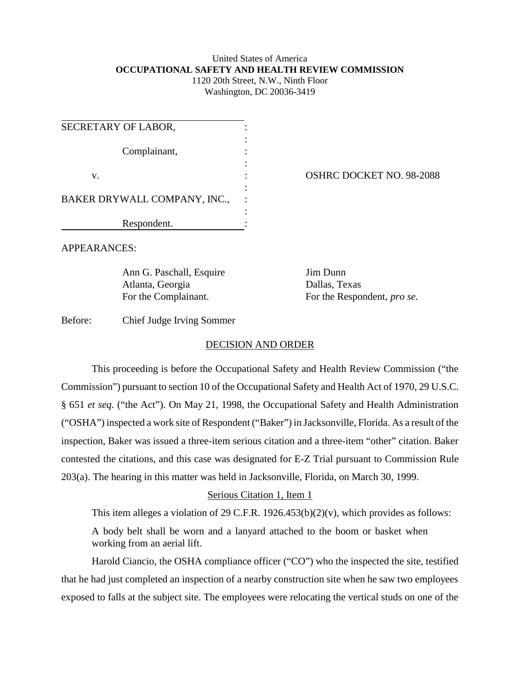#### United States of America **OCCUPATIONAL SAFETY AND HEALTH REVIEW COMMISSION** 1120 20th Street, N.W., Ninth Floor

Washington, DC 20036-3419

| SECRETARY OF LABOR,          |  |
|------------------------------|--|
| Complainant,                 |  |
| V.                           |  |
| BAKER DRYWALL COMPANY, INC., |  |
| Respondent.                  |  |

OSHRC DOCKET NO. 98-2088

APPEARANCES:

Ann G. Paschall, Esquire Jim Dunn Atlanta, Georgia Dallas, Texas

For the Complainant. For the Respondent, *pro se.* 

Before: Chief Judge Irving Sommer

# DECISION AND ORDER

This proceeding is before the Occupational Safety and Health Review Commission ("the Commission") pursuant to section 10 of the Occupational Safety and Health Act of 1970, 29 U.S.C. § 651 *et seq.* ("the Act"). On May 21, 1998, the Occupational Safety and Health Administration ("OSHA") inspected a work site of Respondent ("Baker") in Jacksonville, Florida. As a result of the inspection, Baker was issued a three-item serious citation and a three-item "other" citation. Baker contested the citations, and this case was designated for E-Z Trial pursuant to Commission Rule 203(a). The hearing in this matter was held in Jacksonville, Florida, on March 30, 1999.

# Serious Citation 1, Item 1

This item alleges a violation of 29 C.F.R.  $1926.453(b)(2)(v)$ , which provides as follows:

A body belt shall be worn and a lanyard attached to the boom or basket when working from an aerial lift.

Harold Ciancio, the OSHA compliance officer ("CO") who the inspected the site, testified that he had just completed an inspection of a nearby construction site when he saw two employees exposed to falls at the subject site. The employees were relocating the vertical studs on one of the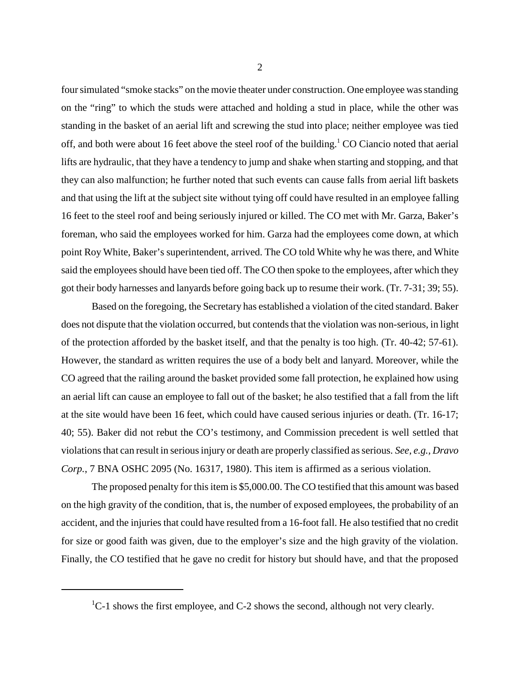four simulated "smoke stacks" on the movie theater under construction. One employee was standing on the "ring" to which the studs were attached and holding a stud in place, while the other was standing in the basket of an aerial lift and screwing the stud into place; neither employee was tied off, and both were about 16 feet above the steel roof of the building.<sup>1</sup> CO Ciancio noted that aerial lifts are hydraulic, that they have a tendency to jump and shake when starting and stopping, and that they can also malfunction; he further noted that such events can cause falls from aerial lift baskets and that using the lift at the subject site without tying off could have resulted in an employee falling 16 feet to the steel roof and being seriously injured or killed. The CO met with Mr. Garza, Baker's foreman, who said the employees worked for him. Garza had the employees come down, at which point Roy White, Baker's superintendent, arrived. The CO told White why he was there, and White said the employees should have been tied off. The CO then spoke to the employees, after which they got their body harnesses and lanyards before going back up to resume their work. (Tr. 7-31; 39; 55).

Based on the foregoing, the Secretary has established a violation of the cited standard. Baker does not dispute that the violation occurred, but contends that the violation was non-serious, in light of the protection afforded by the basket itself, and that the penalty is too high. (Tr. 40-42; 57-61). However, the standard as written requires the use of a body belt and lanyard. Moreover, while the CO agreed that the railing around the basket provided some fall protection, he explained how using an aerial lift can cause an employee to fall out of the basket; he also testified that a fall from the lift at the site would have been 16 feet, which could have caused serious injuries or death. (Tr. 16-17; 40; 55). Baker did not rebut the CO's testimony, and Commission precedent is well settled that violations that can result in serious injury or death are properly classified as serious. *See, e.g., Dravo Corp.*, 7 BNA OSHC 2095 (No. 16317, 1980). This item is affirmed as a serious violation.

The proposed penalty for this item is \$5,000.00. The CO testified that this amount was based on the high gravity of the condition, that is, the number of exposed employees, the probability of an accident, and the injuries that could have resulted from a 16-foot fall. He also testified that no credit for size or good faith was given, due to the employer's size and the high gravity of the violation. Finally, the CO testified that he gave no credit for history but should have, and that the proposed

 ${}^{1}C-1$  shows the first employee, and C-2 shows the second, although not very clearly.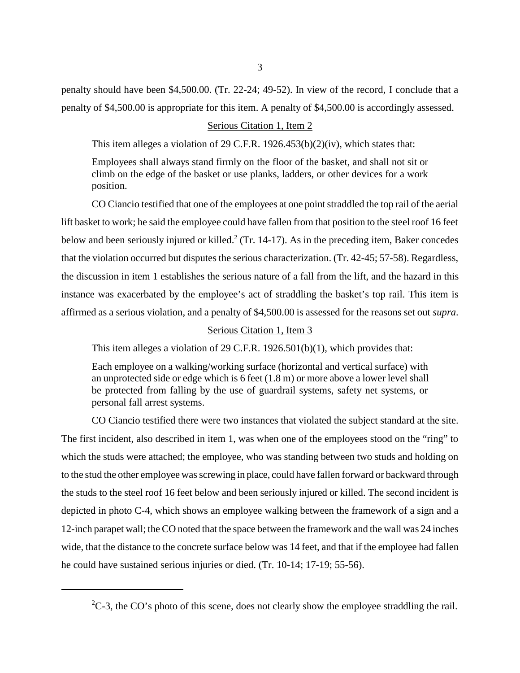penalty should have been \$4,500.00. (Tr. 22-24; 49-52). In view of the record, I conclude that a penalty of \$4,500.00 is appropriate for this item. A penalty of \$4,500.00 is accordingly assessed.

## Serious Citation 1, Item 2

This item alleges a violation of 29 C.F.R. 1926.453(b)(2)(iv), which states that:

Employees shall always stand firmly on the floor of the basket, and shall not sit or climb on the edge of the basket or use planks, ladders, or other devices for a work position.

CO Ciancio testified that one of the employees at one point straddled the top rail of the aerial lift basket to work; he said the employee could have fallen from that position to the steel roof 16 feet below and been seriously injured or killed.<sup>2</sup> (Tr. 14-17). As in the preceding item, Baker concedes that the violation occurred but disputes the serious characterization. (Tr. 42-45; 57-58). Regardless, the discussion in item 1 establishes the serious nature of a fall from the lift, and the hazard in this instance was exacerbated by the employee's act of straddling the basket's top rail. This item is affirmed as a serious violation, and a penalty of \$4,500.00 is assessed for the reasons set out *supra*.

## Serious Citation 1, Item 3

This item alleges a violation of 29 C.F.R. 1926.501(b)(1), which provides that:

Each employee on a walking/working surface (horizontal and vertical surface) with an unprotected side or edge which is 6 feet (1.8 m) or more above a lower level shall be protected from falling by the use of guardrail systems, safety net systems, or personal fall arrest systems.

CO Ciancio testified there were two instances that violated the subject standard at the site. The first incident, also described in item 1, was when one of the employees stood on the "ring" to which the studs were attached; the employee, who was standing between two studs and holding on to the stud the other employee was screwing in place, could have fallen forward or backward through the studs to the steel roof 16 feet below and been seriously injured or killed. The second incident is depicted in photo C-4, which shows an employee walking between the framework of a sign and a 12-inch parapet wall; the CO noted that the space between the framework and the wall was 24 inches wide, that the distance to the concrete surface below was 14 feet, and that if the employee had fallen he could have sustained serious injuries or died. (Tr. 10-14; 17-19; 55-56).

 ${}^{2}C$ -3, the CO's photo of this scene, does not clearly show the employee straddling the rail.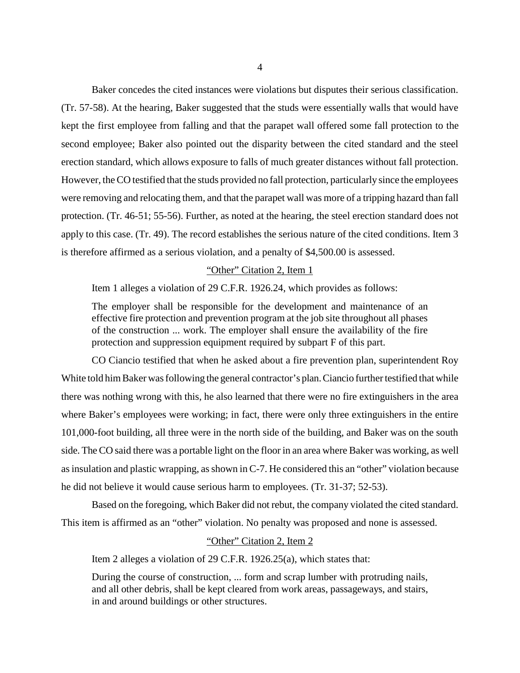Baker concedes the cited instances were violations but disputes their serious classification. (Tr. 57-58). At the hearing, Baker suggested that the studs were essentially walls that would have kept the first employee from falling and that the parapet wall offered some fall protection to the second employee; Baker also pointed out the disparity between the cited standard and the steel erection standard, which allows exposure to falls of much greater distances without fall protection. However, the CO testified that the studs provided no fall protection, particularly since the employees were removing and relocating them, and that the parapet wall was more of a tripping hazard than fall protection. (Tr. 46-51; 55-56). Further, as noted at the hearing, the steel erection standard does not apply to this case. (Tr. 49). The record establishes the serious nature of the cited conditions. Item 3 is therefore affirmed as a serious violation, and a penalty of \$4,500.00 is assessed.

#### "Other" Citation 2, Item 1

Item 1 alleges a violation of 29 C.F.R. 1926.24, which provides as follows:

The employer shall be responsible for the development and maintenance of an effective fire protection and prevention program at the job site throughout all phases of the construction ... work. The employer shall ensure the availability of the fire protection and suppression equipment required by subpart F of this part.

CO Ciancio testified that when he asked about a fire prevention plan, superintendent Roy White told him Baker was following the general contractor's plan. Ciancio further testified that while there was nothing wrong with this, he also learned that there were no fire extinguishers in the area where Baker's employees were working; in fact, there were only three extinguishers in the entire 101,000-foot building, all three were in the north side of the building, and Baker was on the south side. The CO said there was a portable light on the floor in an area where Baker was working, as well as insulation and plastic wrapping, as shown in C-7. He considered this an "other" violation because he did not believe it would cause serious harm to employees. (Tr. 31-37; 52-53).

Based on the foregoing, which Baker did not rebut, the company violated the cited standard. This item is affirmed as an "other" violation. No penalty was proposed and none is assessed.

#### "Other" Citation 2, Item 2

Item 2 alleges a violation of 29 C.F.R. 1926.25(a), which states that:

During the course of construction, ... form and scrap lumber with protruding nails, and all other debris, shall be kept cleared from work areas, passageways, and stairs, in and around buildings or other structures.